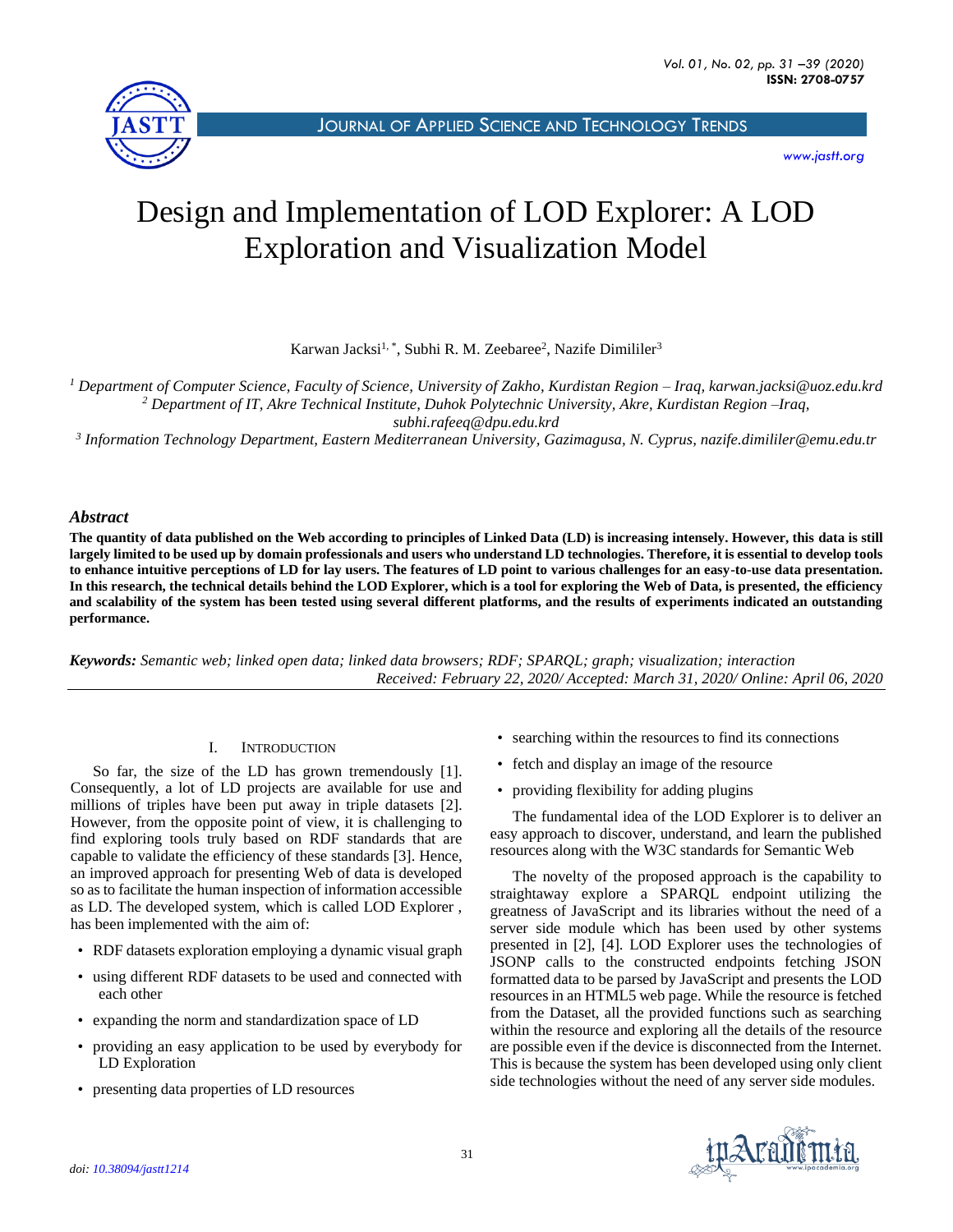

JOURNAL OF APPLIED SCIENCE AND T[ECHNOLOGY](http://jastt.org/index.php/index) TRENDS

*[www.jastt.org](http://www.jastt.org/)*

# Design and Implementation of LOD Explorer: A LOD Exploration and Visualization Model

Karwan Jacksi<sup>1, \*</sup>, Subhi R. M. Zeebaree<sup>2</sup>, Nazife Dimililer<sup>3</sup>

*<sup>1</sup> Department of Computer Science, Faculty of Science, University of Zakho, Kurdistan Region – Iraq, karwan.jacksi@uoz.edu.krd <sup>2</sup> Department of IT, Akre Technical Institute, Duhok Polytechnic University, Akre, Kurdistan Region –Iraq, subhi.rafeeq@dpu.edu.krd*

*3 Information Technology Department, Eastern Mediterranean University, Gazimagusa, N. Cyprus, nazife.dimililer@emu.edu.tr*

## *Abstract*

**The quantity of data published on the Web according to principles of Linked Data (LD) is increasing intensely. However, this data is still largely limited to be used up by domain professionals and users who understand LD technologies. Therefore, it is essential to develop tools to enhance intuitive perceptions of LD for lay users. The features of LD point to various challenges for an easy-to-use data presentation. In this research, the technical details behind the LOD Explorer, which is a tool for exploring the Web of Data, is presented, the efficiency and scalability of the system has been tested using several different platforms, and the results of experiments indicated an outstanding performance.**

*Keywords: Semantic web; linked open data; linked data browsers; RDF; SPARQL; graph; visualization; interaction Received: February 22, 2020/ Accepted: March 31, 2020/ Online: April 06, 2020*

## I. INTRODUCTION

So far, the size of the LD has grown tremendously [1]. Consequently, a lot of LD projects are available for use and millions of triples have been put away in triple datasets [2]. However, from the opposite point of view, it is challenging to find exploring tools truly based on RDF standards that are capable to validate the efficiency of these standards [3]. Hence, an improved approach for presenting Web of data is developed so as to facilitate the human inspection of information accessible as LD. The developed system, which is called LOD Explorer , has been implemented with the aim of:

- RDF datasets exploration employing a dynamic visual graph
- using different RDF datasets to be used and connected with each other
- expanding the norm and standardization space of LD
- providing an easy application to be used by everybody for LD Exploration
- presenting data properties of LD resources
- searching within the resources to find its connections
- fetch and display an image of the resource
- providing flexibility for adding plugins

The fundamental idea of the LOD Explorer is to deliver an easy approach to discover, understand, and learn the published resources along with the W3C standards for Semantic Web

The novelty of the proposed approach is the capability to straightaway explore a SPARQL endpoint utilizing the greatness of JavaScript and its libraries without the need of a server side module which has been used by other systems presented in [2], [4]. LOD Explorer uses the technologies of JSONP calls to the constructed endpoints fetching JSON formatted data to be parsed by JavaScript and presents the LOD resources in an HTML5 web page. While the resource is fetched from the Dataset, all the provided functions such as searching within the resource and exploring all the details of the resource are possible even if the device is disconnected from the Internet. This is because the system has been developed using only client side technologies without the need of any server side modules.

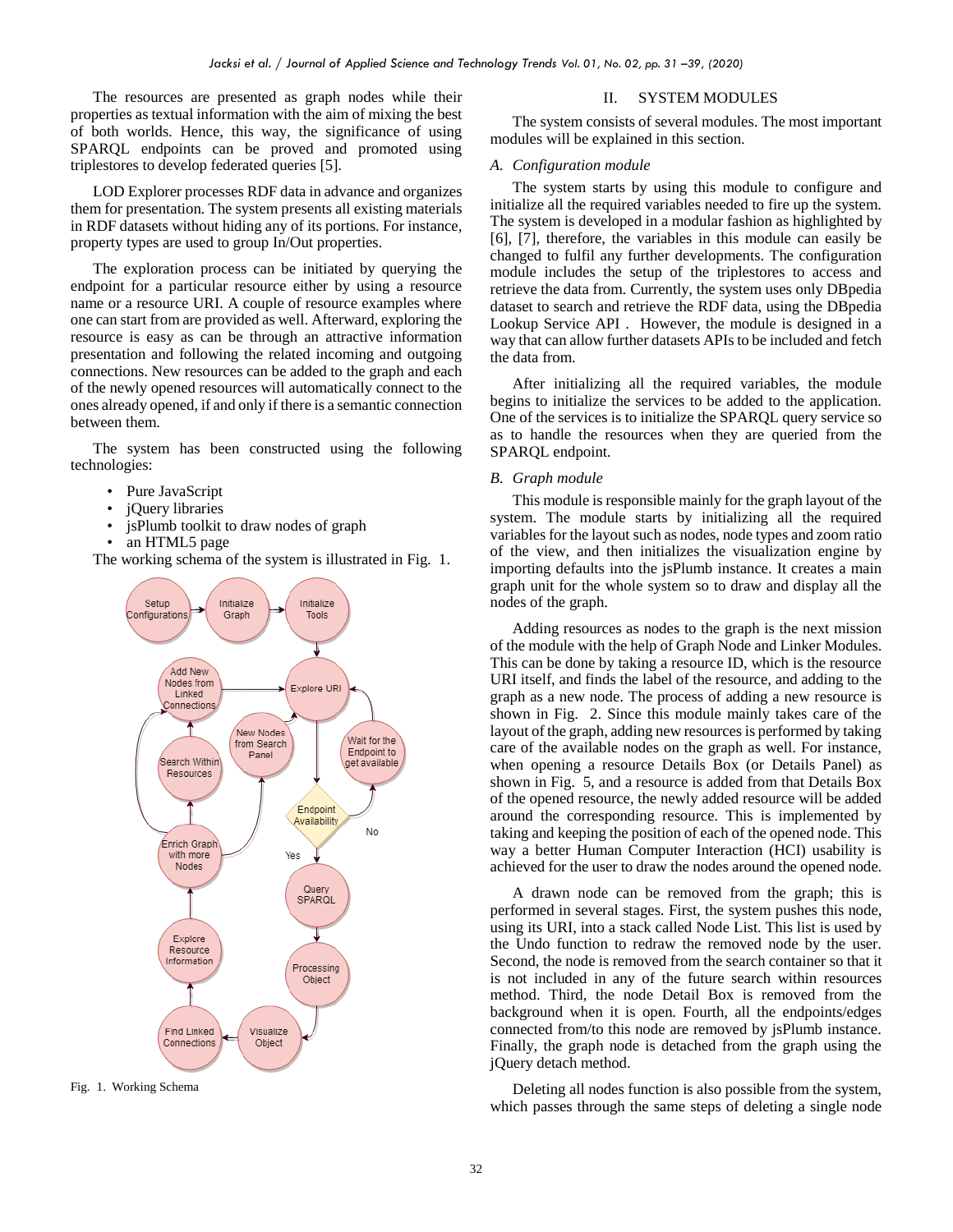The resources are presented as graph nodes while their properties as textual information with the aim of mixing the best of both worlds. Hence, this way, the significance of using SPARQL endpoints can be proved and promoted using triplestores to develop federated queries [5].

LOD Explorer processes RDF data in advance and organizes them for presentation. The system presents all existing materials in RDF datasets without hiding any of its portions. For instance, property types are used to group In/Out properties.

The exploration process can be initiated by querying the endpoint for a particular resource either by using a resource name or a resource URI. A couple of resource examples where one can start from are provided as well. Afterward, exploring the resource is easy as can be through an attractive information presentation and following the related incoming and outgoing connections. New resources can be added to the graph and each of the newly opened resources will automatically connect to the ones already opened, if and only if there is a semantic connection between them.

The system has been constructed using the following technologies:

- Pure JavaScript
- jQuery libraries
- jsPlumb toolkit to draw nodes of graph
- an HTML5 page

The working schema of the system is illustrated in [Fig. 1.](#page-1-0)



<span id="page-1-0"></span>Fig. 1. Working Schema

#### II. SYSTEM MODULES

The system consists of several modules. The most important modules will be explained in this section.

#### *A. Configuration module*

The system starts by using this module to configure and initialize all the required variables needed to fire up the system. The system is developed in a modular fashion as highlighted by [6], [7], therefore, the variables in this module can easily be changed to fulfil any further developments. The configuration module includes the setup of the triplestores to access and retrieve the data from. Currently, the system uses only DBpedia dataset to search and retrieve the RDF data, using the DBpedia Lookup Service API . However, the module is designed in a way that can allow further datasets APIs to be included and fetch the data from.

After initializing all the required variables, the module begins to initialize the services to be added to the application. One of the services is to initialize the SPARQL query service so as to handle the resources when they are queried from the SPARQL endpoint.

## *B. Graph module*

This module is responsible mainly for the graph layout of the system. The module starts by initializing all the required variables for the layout such as nodes, node types and zoom ratio of the view, and then initializes the visualization engine by importing defaults into the jsPlumb instance. It creates a main graph unit for the whole system so to draw and display all the nodes of the graph.

Adding resources as nodes to the graph is the next mission of the module with the help of Graph Node and Linker Modules. This can be done by taking a resource ID, which is the resource URI itself, and finds the label of the resource, and adding to the graph as a new node. The process of adding a new resource is shown in [Fig. 2.](#page-2-0) Since this module mainly takes care of the layout of the graph, adding new resources is performed by taking care of the available nodes on the graph as well. For instance, when opening a resource Details Box (or Details Panel) as shown in [Fig. 5,](#page-5-0) and a resource is added from that Details Box of the opened resource, the newly added resource will be added around the corresponding resource. This is implemented by taking and keeping the position of each of the opened node. This way a better Human Computer Interaction (HCI) usability is achieved for the user to draw the nodes around the opened node.

A drawn node can be removed from the graph; this is performed in several stages. First, the system pushes this node, using its URI, into a stack called Node List. This list is used by the Undo function to redraw the removed node by the user. Second, the node is removed from the search container so that it is not included in any of the future search within resources method. Third, the node Detail Box is removed from the background when it is open. Fourth, all the endpoints/edges connected from/to this node are removed by jsPlumb instance. Finally, the graph node is detached from the graph using the jQuery detach method.

Deleting all nodes function is also possible from the system, which passes through the same steps of deleting a single node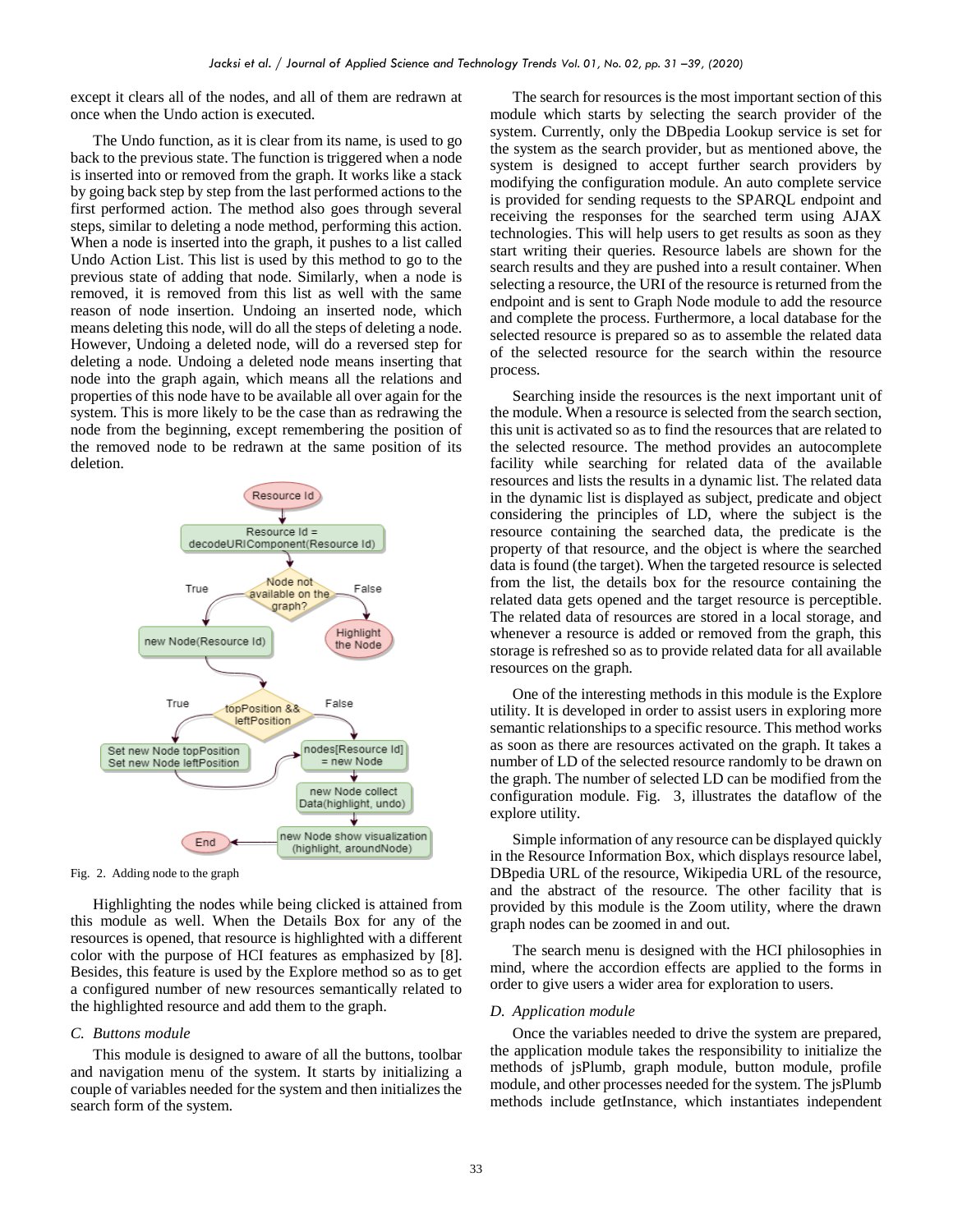except it clears all of the nodes, and all of them are redrawn at once when the Undo action is executed.

The Undo function, as it is clear from its name, is used to go back to the previous state. The function is triggered when a node is inserted into or removed from the graph. It works like a stack by going back step by step from the last performed actions to the first performed action. The method also goes through several steps, similar to deleting a node method, performing this action. When a node is inserted into the graph, it pushes to a list called Undo Action List. This list is used by this method to go to the previous state of adding that node. Similarly, when a node is removed, it is removed from this list as well with the same reason of node insertion. Undoing an inserted node, which means deleting this node, will do all the steps of deleting a node. However, Undoing a deleted node, will do a reversed step for deleting a node. Undoing a deleted node means inserting that node into the graph again, which means all the relations and properties of this node have to be available all over again for the system. This is more likely to be the case than as redrawing the node from the beginning, except remembering the position of the removed node to be redrawn at the same position of its deletion.



<span id="page-2-0"></span>Fig. 2. Adding node to the graph

Highlighting the nodes while being clicked is attained from this module as well. When the Details Box for any of the resources is opened, that resource is highlighted with a different color with the purpose of HCI features as emphasized by [8]. Besides, this feature is used by the Explore method so as to get a configured number of new resources semantically related to the highlighted resource and add them to the graph.

#### *C. Buttons module*

This module is designed to aware of all the buttons, toolbar and navigation menu of the system. It starts by initializing a couple of variables needed for the system and then initializes the search form of the system.

The search for resources is the most important section of this module which starts by selecting the search provider of the system. Currently, only the DBpedia Lookup service is set for the system as the search provider, but as mentioned above, the system is designed to accept further search providers by modifying the configuration module. An auto complete service is provided for sending requests to the SPARQL endpoint and receiving the responses for the searched term using AJAX technologies. This will help users to get results as soon as they start writing their queries. Resource labels are shown for the search results and they are pushed into a result container. When selecting a resource, the URI of the resource is returned from the endpoint and is sent to Graph Node module to add the resource and complete the process. Furthermore, a local database for the selected resource is prepared so as to assemble the related data of the selected resource for the search within the resource process.

Searching inside the resources is the next important unit of the module. When a resource is selected from the search section, this unit is activated so as to find the resources that are related to the selected resource. The method provides an autocomplete facility while searching for related data of the available resources and lists the results in a dynamic list. The related data in the dynamic list is displayed as subject, predicate and object considering the principles of LD, where the subject is the resource containing the searched data, the predicate is the property of that resource, and the object is where the searched data is found (the target). When the targeted resource is selected from the list, the details box for the resource containing the related data gets opened and the target resource is perceptible. The related data of resources are stored in a local storage, and whenever a resource is added or removed from the graph, this storage is refreshed so as to provide related data for all available resources on the graph.

One of the interesting methods in this module is the Explore utility. It is developed in order to assist users in exploring more semantic relationships to a specific resource. This method works as soon as there are resources activated on the graph. It takes a number of LD of the selected resource randomly to be drawn on the graph. The number of selected LD can be modified from the configuration module. [Fig. 3,](#page-3-0) illustrates the dataflow of the explore utility.

Simple information of any resource can be displayed quickly in the Resource Information Box, which displays resource label, DBpedia URL of the resource, Wikipedia URL of the resource, and the abstract of the resource. The other facility that is provided by this module is the Zoom utility, where the drawn graph nodes can be zoomed in and out.

The search menu is designed with the HCI philosophies in mind, where the accordion effects are applied to the forms in order to give users a wider area for exploration to users.

## *D. Application module*

Once the variables needed to drive the system are prepared, the application module takes the responsibility to initialize the methods of jsPlumb, graph module, button module, profile module, and other processes needed for the system. The jsPlumb methods include getInstance, which instantiates independent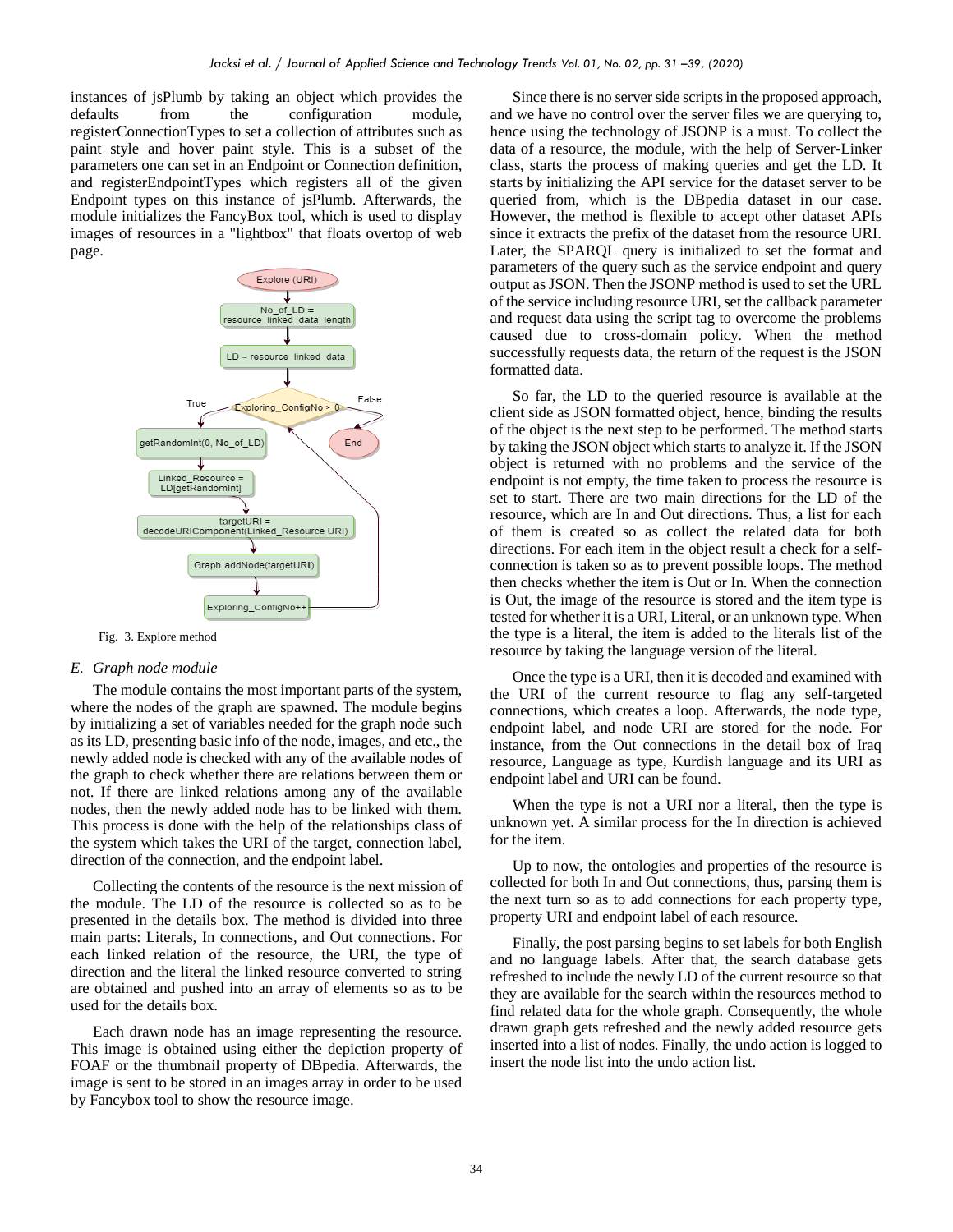instances of jsPlumb by taking an object which provides the defaults from the configuration module, registerConnectionTypes to set a collection of attributes such as paint style and hover paint style. This is a subset of the parameters one can set in an Endpoint or Connection definition, and registerEndpointTypes which registers all of the given Endpoint types on this instance of jsPlumb. Afterwards, the module initializes the FancyBox tool, which is used to display images of resources in a "lightbox" that floats overtop of web page.



<span id="page-3-0"></span>Fig. 3. Explore method

#### *E. Graph node module*

The module contains the most important parts of the system, where the nodes of the graph are spawned. The module begins by initializing a set of variables needed for the graph node such as its LD, presenting basic info of the node, images, and etc., the newly added node is checked with any of the available nodes of the graph to check whether there are relations between them or not. If there are linked relations among any of the available nodes, then the newly added node has to be linked with them. This process is done with the help of the relationships class of the system which takes the URI of the target, connection label, direction of the connection, and the endpoint label.

Collecting the contents of the resource is the next mission of the module. The LD of the resource is collected so as to be presented in the details box. The method is divided into three main parts: Literals, In connections, and Out connections. For each linked relation of the resource, the URI, the type of direction and the literal the linked resource converted to string are obtained and pushed into an array of elements so as to be used for the details box.

Each drawn node has an image representing the resource. This image is obtained using either the depiction property of FOAF or the thumbnail property of DBpedia. Afterwards, the image is sent to be stored in an images array in order to be used by Fancybox tool to show the resource image.

Since there is no server side scripts in the proposed approach, and we have no control over the server files we are querying to, hence using the technology of JSONP is a must. To collect the data of a resource, the module, with the help of Server-Linker class, starts the process of making queries and get the LD. It starts by initializing the API service for the dataset server to be queried from, which is the DBpedia dataset in our case. However, the method is flexible to accept other dataset APIs since it extracts the prefix of the dataset from the resource URI. Later, the SPARQL query is initialized to set the format and parameters of the query such as the service endpoint and query output as JSON. Then the JSONP method is used to set the URL of the service including resource URI, set the callback parameter and request data using the script tag to overcome the problems caused due to cross-domain policy. When the method successfully requests data, the return of the request is the JSON formatted data.

So far, the LD to the queried resource is available at the client side as JSON formatted object, hence, binding the results of the object is the next step to be performed. The method starts by taking the JSON object which starts to analyze it. If the JSON object is returned with no problems and the service of the endpoint is not empty, the time taken to process the resource is set to start. There are two main directions for the LD of the resource, which are In and Out directions. Thus, a list for each of them is created so as collect the related data for both directions. For each item in the object result a check for a selfconnection is taken so as to prevent possible loops. The method then checks whether the item is Out or In. When the connection is Out, the image of the resource is stored and the item type is tested for whether it is a URI, Literal, or an unknown type. When the type is a literal, the item is added to the literals list of the resource by taking the language version of the literal.

Once the type is a URI, then it is decoded and examined with the URI of the current resource to flag any self-targeted connections, which creates a loop. Afterwards, the node type, endpoint label, and node URI are stored for the node. For instance, from the Out connections in the detail box of Iraq resource, Language as type, Kurdish language and its URI as endpoint label and URI can be found.

When the type is not a URI nor a literal, then the type is unknown yet. A similar process for the In direction is achieved for the item.

Up to now, the ontologies and properties of the resource is collected for both In and Out connections, thus, parsing them is the next turn so as to add connections for each property type, property URI and endpoint label of each resource.

Finally, the post parsing begins to set labels for both English and no language labels. After that, the search database gets refreshed to include the newly LD of the current resource so that they are available for the search within the resources method to find related data for the whole graph. Consequently, the whole drawn graph gets refreshed and the newly added resource gets inserted into a list of nodes. Finally, the undo action is logged to insert the node list into the undo action list.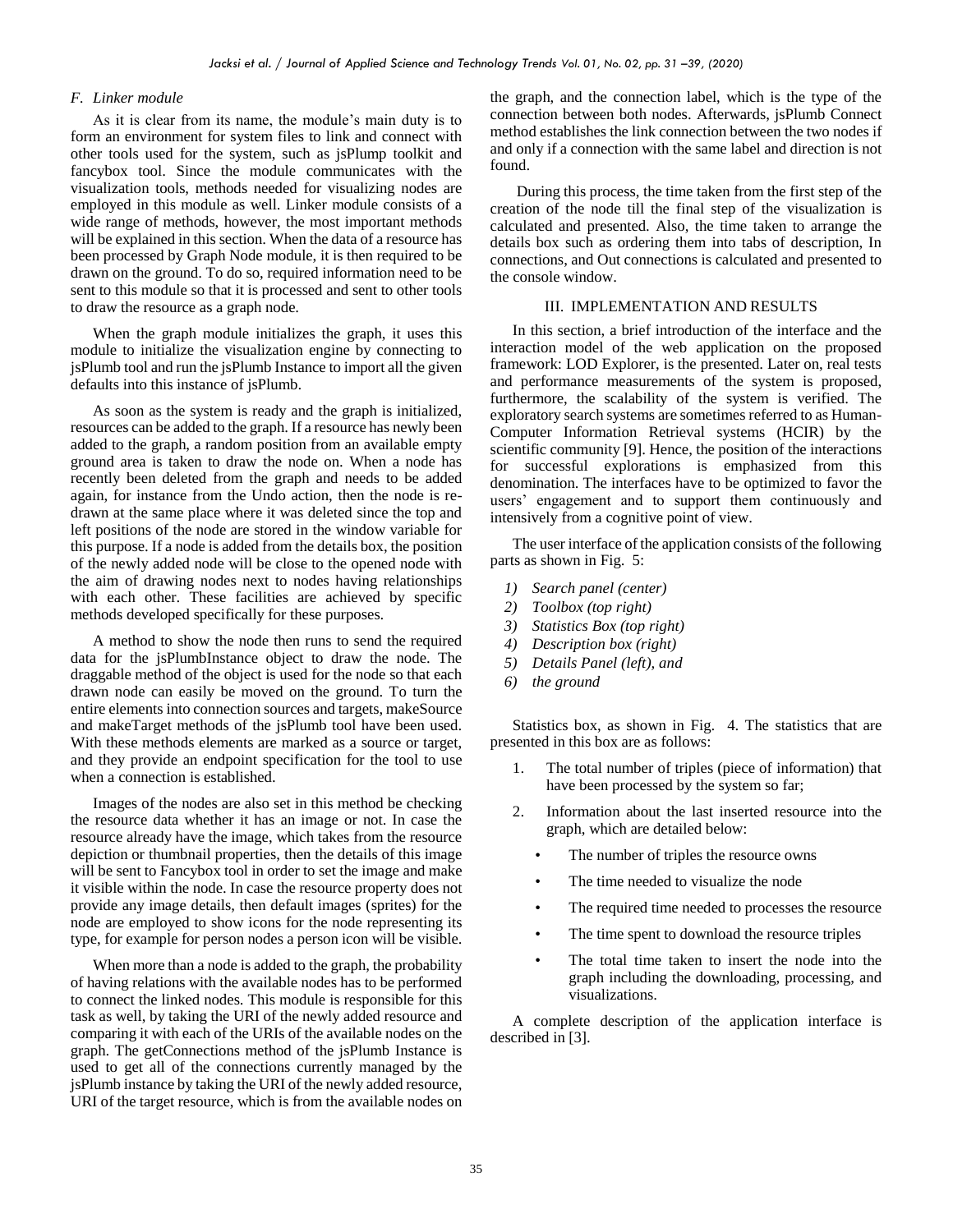## *F. Linker module*

As it is clear from its name, the module's main duty is to form an environment for system files to link and connect with other tools used for the system, such as jsPlump toolkit and fancybox tool. Since the module communicates with the visualization tools, methods needed for visualizing nodes are employed in this module as well. Linker module consists of a wide range of methods, however, the most important methods will be explained in this section. When the data of a resource has been processed by Graph Node module, it is then required to be drawn on the ground. To do so, required information need to be sent to this module so that it is processed and sent to other tools to draw the resource as a graph node.

When the graph module initializes the graph, it uses this module to initialize the visualization engine by connecting to jsPlumb tool and run the jsPlumb Instance to import all the given defaults into this instance of jsPlumb.

As soon as the system is ready and the graph is initialized, resources can be added to the graph. If a resource has newly been added to the graph, a random position from an available empty ground area is taken to draw the node on. When a node has recently been deleted from the graph and needs to be added again, for instance from the Undo action, then the node is redrawn at the same place where it was deleted since the top and left positions of the node are stored in the window variable for this purpose. If a node is added from the details box, the position of the newly added node will be close to the opened node with the aim of drawing nodes next to nodes having relationships with each other. These facilities are achieved by specific methods developed specifically for these purposes.

A method to show the node then runs to send the required data for the jsPlumbInstance object to draw the node. The draggable method of the object is used for the node so that each drawn node can easily be moved on the ground. To turn the entire elements into connection sources and targets, makeSource and makeTarget methods of the jsPlumb tool have been used. With these methods elements are marked as a source or target, and they provide an endpoint specification for the tool to use when a connection is established.

Images of the nodes are also set in this method be checking the resource data whether it has an image or not. In case the resource already have the image, which takes from the resource depiction or thumbnail properties, then the details of this image will be sent to Fancybox tool in order to set the image and make it visible within the node. In case the resource property does not provide any image details, then default images (sprites) for the node are employed to show icons for the node representing its type, for example for person nodes a person icon will be visible.

When more than a node is added to the graph, the probability of having relations with the available nodes has to be performed to connect the linked nodes. This module is responsible for this task as well, by taking the URI of the newly added resource and comparing it with each of the URIs of the available nodes on the graph. The getConnections method of the jsPlumb Instance is used to get all of the connections currently managed by the jsPlumb instance by taking the URI of the newly added resource, URI of the target resource, which is from the available nodes on

the graph, and the connection label, which is the type of the connection between both nodes. Afterwards, jsPlumb Connect method establishes the link connection between the two nodes if and only if a connection with the same label and direction is not found.

During this process, the time taken from the first step of the creation of the node till the final step of the visualization is calculated and presented. Also, the time taken to arrange the details box such as ordering them into tabs of description, In connections, and Out connections is calculated and presented to the console window.

## III. IMPLEMENTATION AND RESULTS

In this section, a brief introduction of the interface and the interaction model of the web application on the proposed framework: LOD Explorer, is the presented. Later on, real tests and performance measurements of the system is proposed, furthermore, the scalability of the system is verified. The exploratory search systems are sometimes referred to as Human-Computer Information Retrieval systems (HCIR) by the scientific community [9]. Hence, the position of the interactions for successful explorations is emphasized from this denomination. The interfaces have to be optimized to favor the users' engagement and to support them continuously and intensively from a cognitive point of view.

The user interface of the application consists of the following parts as shown in [Fig. 5:](#page-5-0)

- *1) Search panel (center)*
- *2) Toolbox (top right)*
- *3) Statistics Box (top right)*
- *4) Description box (right)*
- *5) Details Panel (left), and*
- *6) the ground*

Statistics box, as shown in [Fig. 4.](#page-5-1) The statistics that are presented in this box are as follows:

- 1. The total number of triples (piece of information) that have been processed by the system so far;
- 2. Information about the last inserted resource into the graph, which are detailed below:
	- The number of triples the resource owns
	- The time needed to visualize the node
	- The required time needed to processes the resource
	- The time spent to download the resource triples
	- The total time taken to insert the node into the graph including the downloading, processing, and visualizations.

A complete description of the application interface is described in [3].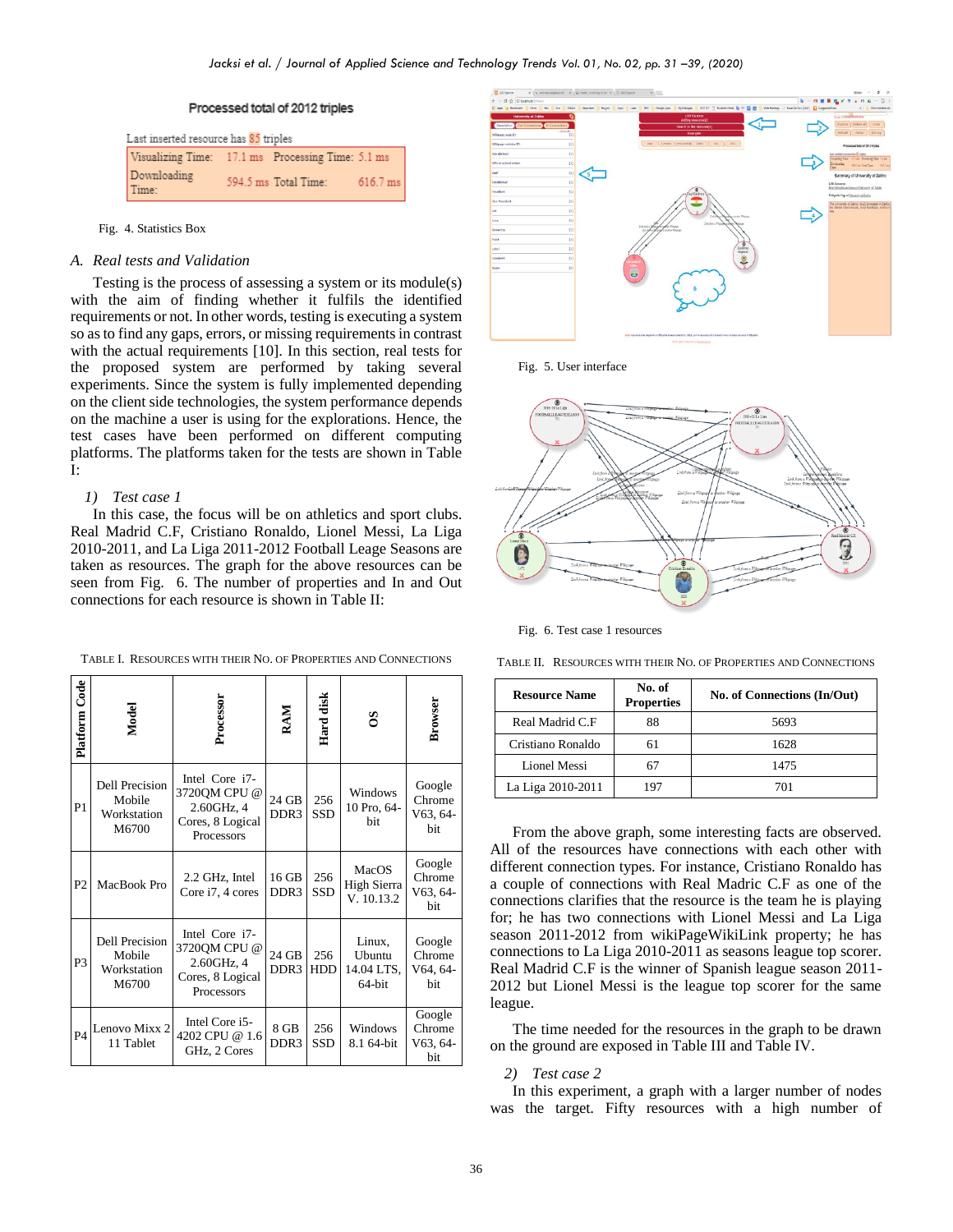## Processed total of 2012 triples

Last inserted resource has 85 triples Visualizing Time: 17.1 ms Processing Time: 5.1 ms Downloading 594.5 ms Total Time: 616.7 ms Time:

<span id="page-5-1"></span>Fig. 4. Statistics Box

## *A. Real tests and Validation*

Testing is the process of assessing a system or its module(s) with the aim of finding whether it fulfils the identified requirements or not. In other words, testing is executing a system so as to find any gaps, errors, or missing requirements in contrast with the actual requirements [10]. In this section, real tests for the proposed system are performed by taking several experiments. Since the system is fully implemented depending on the client side technologies, the system performance depends on the machine a user is using for the explorations. Hence, the test cases have been performed on different computing platforms. The platforms taken for the tests are shown in Table I:

## *1) Test case 1*

In this case, the focus will be on athletics and sport clubs. Real Madrid C.F, Cristiano Ronaldo, Lionel Messi, La Liga 2010-2011, and La Liga 2011-2012 Football Leage Seasons are taken as resources. The graph for the above resources can be seen from [Fig. 6.](#page-5-2) The number of properties and In and Out connections for each resource is shown in Table II:

| Platform Code  | Model                                                   | Processor                                                                      | RAM                       | Hard disk         | $\mathbf{S}$                             | Browser                               |
|----------------|---------------------------------------------------------|--------------------------------------------------------------------------------|---------------------------|-------------------|------------------------------------------|---------------------------------------|
| P1             | <b>Dell Precision</b><br>Mobile<br>Workstation<br>M6700 | Intel Core i7-<br>3720QM CPU @<br>2.60GHz, 4<br>Cores, 8 Logical<br>Processors | 24 GB<br>DDR <sub>3</sub> | 256<br>SSD        | Windows<br>10 Pro, 64-<br><b>bit</b>     | Google<br>Chrome<br>$V63, 64-$<br>bit |
| P <sub>2</sub> | MacBook Pro                                             | 2.2 GHz, Intel<br>Core i7, 4 cores                                             | 16 GB<br>DDR <sub>3</sub> | 256<br>SSD        | MacOS<br>High Sierra<br>V. 10.13.2       | Google<br>Chrome<br>$V63, 64-$<br>bit |
| P3             | <b>Dell Precision</b><br>Mobile<br>Workstation<br>M6700 | Intel Core i7-<br>3720QM CPU @<br>2.60GHz, 4<br>Cores, 8 Logical<br>Processors | 24 GB<br>DDR <sub>3</sub> | 256<br><b>HDD</b> | Linux,<br>Ubuntu<br>14.04 LTS,<br>64-bit | Google<br>Chrome<br>V64, 64-<br>bit   |
| P <sub>4</sub> | Lenovo Mixx 2<br>11 Tablet                              | Intel Core i5-<br>4202 CPU @ 1.6<br>GHz, 2 Cores                               | 8 GB<br>DDR <sub>3</sub>  | 256<br>SSD        | Windows<br>8.1 64-bit                    | Google<br>Chrome<br>V63, 64-<br>bit   |

TABLE I. RESOURCES WITH THEIR NO. OF PROPERTIES AND CONNECTIONS



<span id="page-5-0"></span>Fig. 5. User interface



<span id="page-5-2"></span>Fig. 6. Test case 1 resources

TABLE II. RESOURCES WITH THEIR NO. OF PROPERTIES AND CONNECTIONS

| <b>Resource Name</b> | No. of<br><b>Properties</b> | No. of Connections (In/Out) |
|----------------------|-----------------------------|-----------------------------|
| Real Madrid C.F      | 88                          | 5693                        |
| Cristiano Ronaldo    |                             | 1628                        |
| Lionel Messi         |                             | 1475                        |
| La Liga 2010-2011    |                             | 701                         |

From the above graph, some interesting facts are observed. All of the resources have connections with each other with different connection types. For instance, Cristiano Ronaldo has a couple of connections with Real Madric C.F as one of the connections clarifies that the resource is the team he is playing for; he has two connections with Lionel Messi and La Liga season 2011-2012 from wikiPageWikiLink property; he has connections to La Liga 2010-2011 as seasons league top scorer. Real Madrid C.F is the winner of Spanish league season 2011- 2012 but Lionel Messi is the league top scorer for the same league.

The time needed for the resources in the graph to be drawn on the ground are exposed in Table III and Table IV.

#### *2) Test case 2*

In this experiment, a graph with a larger number of nodes was the target. Fifty resources with a high number of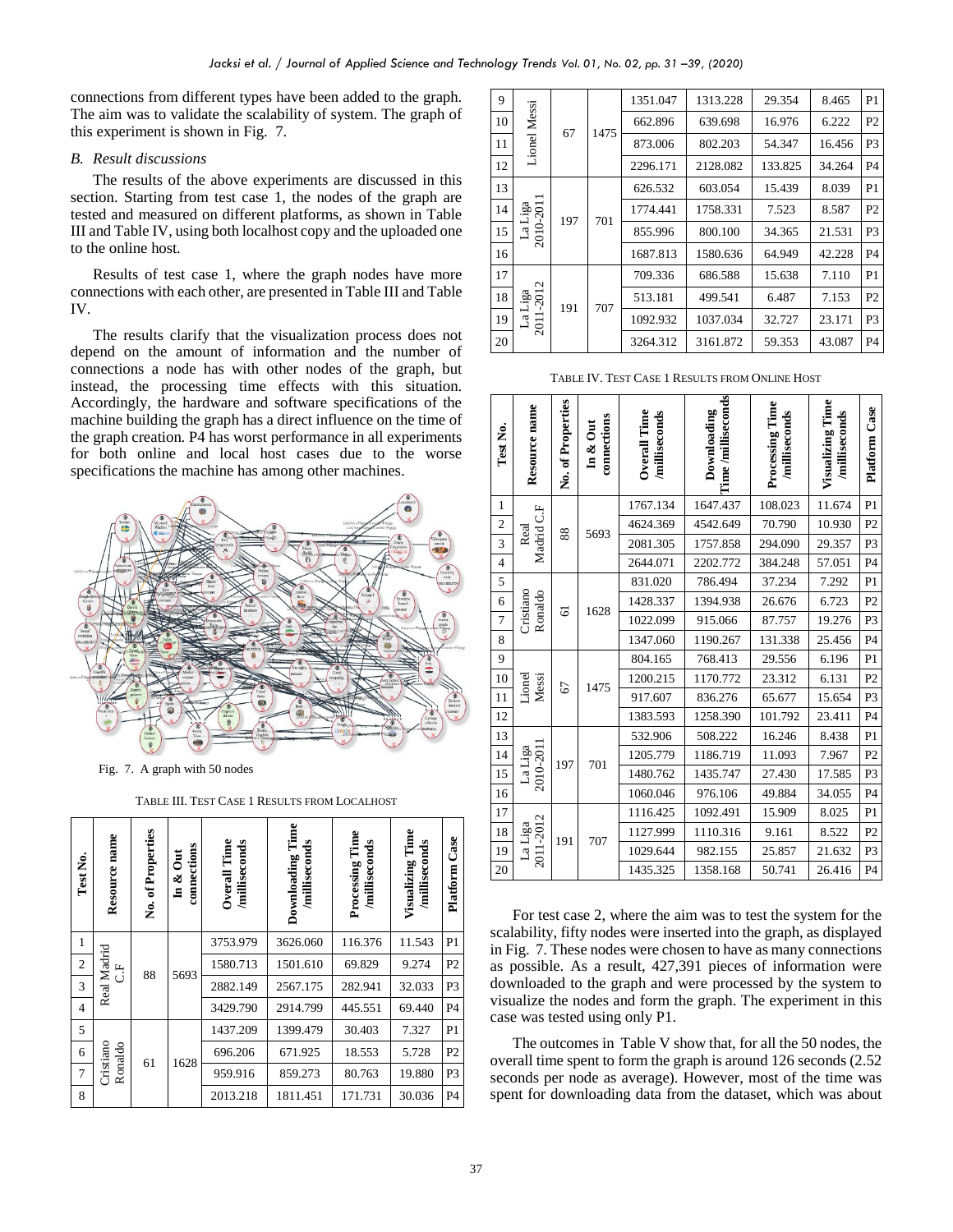connections from different types have been added to the graph. The aim was to validate the scalability of system. The graph of this experiment is shown in [Fig. 7.](#page-6-0)

## *B. Result discussions*

The results of the above experiments are discussed in this section. Starting from test case 1, the nodes of the graph are tested and measured on different platforms, as shown in Table III and Table IV, using both localhost copy and the uploaded one to the online host.

Results of test case 1, where the graph nodes have more connections with each other, are presented in Table III and Table IV.

The results clarify that the visualization process does not depend on the amount of information and the number of connections a node has with other nodes of the graph, but instead, the processing time effects with this situation. Accordingly, the hardware and software specifications of the machine building the graph has a direct influence on the time of the graph creation. P4 has worst performance in all experiments for both online and local host cases due to the worse specifications the machine has among other machines.



<span id="page-6-0"></span>Fig. 7. A graph with 50 nodes

TABLE III. TEST CASE 1 RESULTS FROM LOCALHOST

| Test No.       | Resource name         | No. of Properties | connections<br>$\overline{5}$<br>శ<br>$\Xi$ | Overall Time<br>milliseconds | Downloading Time<br>milliseconds | Processing Time<br>/milliseconds | Visualizing Time<br>milliseconds | Case<br>Platform |                |        |    |  |         |         |        |       |                |
|----------------|-----------------------|-------------------|---------------------------------------------|------------------------------|----------------------------------|----------------------------------|----------------------------------|------------------|----------------|--------|----|--|---------|---------|--------|-------|----------------|
| 1              |                       |                   |                                             | 3753.979                     | 3626.060                         | 116.376                          | 11.543                           | P <sub>1</sub>   |                |        |    |  |         |         |        |       |                |
| $\overline{c}$ | Real Madrid<br>し<br>じ |                   | 88                                          | 5693                         | 1580.713                         | 1501.610                         | 69.829                           | 9.274            | P <sub>2</sub> |        |    |  |         |         |        |       |                |
| 3              |                       |                   |                                             |                              |                                  |                                  | 2882.149                         | 2567.175         | 282.941        | 32.033 | P3 |  |         |         |        |       |                |
| $\overline{4}$ |                       |                   |                                             | 3429.790                     | 2914.799                         | 445.551                          | 69.440                           | P <sub>4</sub>   |                |        |    |  |         |         |        |       |                |
| 5              |                       |                   |                                             | 1437.209                     | 1399.479                         | 30.403                           | 7.327                            | P <sub>1</sub>   |                |        |    |  |         |         |        |       |                |
| 6              |                       |                   |                                             |                              |                                  |                                  |                                  |                  |                |        |    |  | 696.206 | 671.925 | 18.553 | 5.728 | P <sub>2</sub> |
| 7              | Cristiano<br>Ronaldo  | 61                | 1628                                        | 959.916                      | 859.273                          | 80.763                           | 19.880                           | P3               |                |        |    |  |         |         |        |       |                |
| 8              |                       |                   |                                             | 2013.218                     | 1811.451                         | 171.731                          | 30.036                           | P4               |                |        |    |  |         |         |        |       |                |

| 9  |                      | <b>Lionel Messi</b><br>67 |      |          |          |          |          |                | 1351.047       | 1313.228       | 29.354  | 8.465  | P <sub>1</sub> |
|----|----------------------|---------------------------|------|----------|----------|----------|----------|----------------|----------------|----------------|---------|--------|----------------|
| 10 |                      |                           | 1475 | 662.896  | 639.698  | 16.976   | 6.222    | P <sub>2</sub> |                |                |         |        |                |
| 11 |                      |                           |      | 873.006  | 802.203  | 54.347   | 16.456   | P <sub>3</sub> |                |                |         |        |                |
| 12 |                      |                           |      | 2296.171 | 2128.082 | 133.825  | 34.264   | P <sub>4</sub> |                |                |         |        |                |
| 13 |                      | 197                       |      | 626.532  | 603.054  | 15.439   | 8.039    | P <sub>1</sub> |                |                |         |        |                |
| 14 |                      |                           |      | 701      | 1774.441 | 1758.331 | 7.523    | 8.587          | P <sub>2</sub> |                |         |        |                |
| 15 | La Liga<br>2010-2011 |                           |      |          |          |          |          |                |                | 855.996        | 800.100 | 34.365 | 21.531         |
| 16 |                      |                           |      |          | 1687.813 | 1580.636 | 64.949   | 42.228         | P <sub>4</sub> |                |         |        |                |
| 17 |                      |                           |      | 709.336  | 686.588  | 15.638   | 7.110    | P <sub>1</sub> |                |                |         |        |                |
| 18 | Liga<br>-2012        | 191                       | 707  |          | 513.181  | 499.541  | 6.487    | 7.153          | P <sub>2</sub> |                |         |        |                |
| 19 | $\mathbb{Z}$<br>2011 |                           |      |          |          | 1092.932 | 1037.034 | 32.727         | 23.171         | P <sub>3</sub> |         |        |                |
| 20 |                      |                           |      | 3264.312 | 3161.872 | 59.353   | 43.087   | P <sub>4</sub> |                |                |         |        |                |

TABLE IV. TEST CASE 1 RESULTS FROM ONLINE HOST

| Test No.                | Resource name        | No. of Properties         | connections<br>$\ln \&$ Out | Overall Time<br>/milliseconds | Time /milliseconds<br>Downloading | Processing Time<br>/milliseconds | Visualizing Time<br>/milliseconds | Case<br>Platform |                |                |       |                |
|-------------------------|----------------------|---------------------------|-----------------------------|-------------------------------|-----------------------------------|----------------------------------|-----------------------------------|------------------|----------------|----------------|-------|----------------|
| $\mathbf{1}$            |                      |                           |                             | 1767.134                      | 1647.437                          | 108.023                          | 11.674                            | P <sub>1</sub>   |                |                |       |                |
| $\overline{\mathbf{c}}$ | Madrid C.F           | 88                        | 5693                        | 4624.369                      | 4542.649                          | 70.790                           | 10.930                            | P <sub>2</sub>   |                |                |       |                |
| $\overline{\mathbf{3}}$ | Real                 |                           |                             | 2081.305                      | 1757.858                          | 294.090                          | 29.357                            | P3               |                |                |       |                |
| $\overline{\mathbf{4}}$ |                      |                           |                             | 2644.071                      | 2202.772                          | 384.248                          | 57.051                            | P <sub>4</sub>   |                |                |       |                |
| 5                       |                      |                           |                             | 831.020                       | 786.494                           | 37.234                           | 7.292                             | P <sub>1</sub>   |                |                |       |                |
| 6                       |                      | Ronaldo<br>$\overline{6}$ |                             |                               |                                   |                                  | 1628                              | 1428.337         | 1394.938       | 26.676         | 6.723 | P <sub>2</sub> |
| $\overline{7}$          | Cristiano            |                           |                             |                               | 1022.099                          | 915.066                          | 87.757                            | 19.276           | P3             |                |       |                |
| 8                       |                      |                           |                             | 1347.060                      | 1190.267                          | 131.338                          | 25.456                            | P <sub>4</sub>   |                |                |       |                |
| 9                       |                      |                           |                             | 804.165                       | 768.413                           | 29.556                           | 6.196                             | P <sub>1</sub>   |                |                |       |                |
| 10                      | Lionel<br>Messi      | 67                        | 1475                        |                               | 1200.215                          | 1170.772                         | 23.312                            | 6.131            | P <sub>2</sub> |                |       |                |
| 11                      |                      |                           |                             | 917.607                       | 836.276                           | 65.677                           | 15.654                            | P <sub>3</sub>   |                |                |       |                |
| 12                      |                      |                           |                             | 1383.593                      | 1258.390                          | 101.792                          | 23.411                            | P <sub>4</sub>   |                |                |       |                |
| 13                      |                      |                           |                             | 532.906                       | 508.222                           | 16.246                           | 8.438                             | P <sub>1</sub>   |                |                |       |                |
| 14                      |                      | 197                       |                             | 1205.779                      | 1186.719                          | 11.093                           | 7.967                             | P <sub>2</sub>   |                |                |       |                |
| 15                      | 2010-201<br>La Liga  |                           | 701                         | 1480.762                      | 1435.747                          | 27.430                           | 17.585                            | P3               |                |                |       |                |
| 16                      |                      |                           |                             |                               |                                   | 1060.046                         | 976.106                           | 49.884           | 34.055         | P <sub>4</sub> |       |                |
| 17                      |                      |                           |                             | 1116.425                      | 1092.491                          | 15.909                           | 8.025                             | P <sub>1</sub>   |                |                |       |                |
| $18\,$                  |                      | 191                       | 707                         | 1127.999                      | 1110.316                          | 9.161                            | 8.522                             | P <sub>2</sub>   |                |                |       |                |
| 19                      | 2011-2012<br>La Liga |                           |                             | 1029.644                      | 982.155                           | 25.857                           | 21.632                            | P3               |                |                |       |                |
| 20                      |                      |                           |                             | 1435.325                      | 1358.168                          | 50.741                           | 26.416                            | P <sub>4</sub>   |                |                |       |                |

For test case 2, where the aim was to test the system for the scalability, fifty nodes were inserted into the graph, as displayed in [Fig. 7.](#page-6-0) These nodes were chosen to have as many connections as possible. As a result, 427,391 pieces of information were downloaded to the graph and were processed by the system to visualize the nodes and form the graph. The experiment in this case was tested using only P1.

The outcomes in Table V show that, for all the 50 nodes, the overall time spent to form the graph is around 126 seconds (2.52 seconds per node as average). However, most of the time was spent for downloading data from the dataset, which was about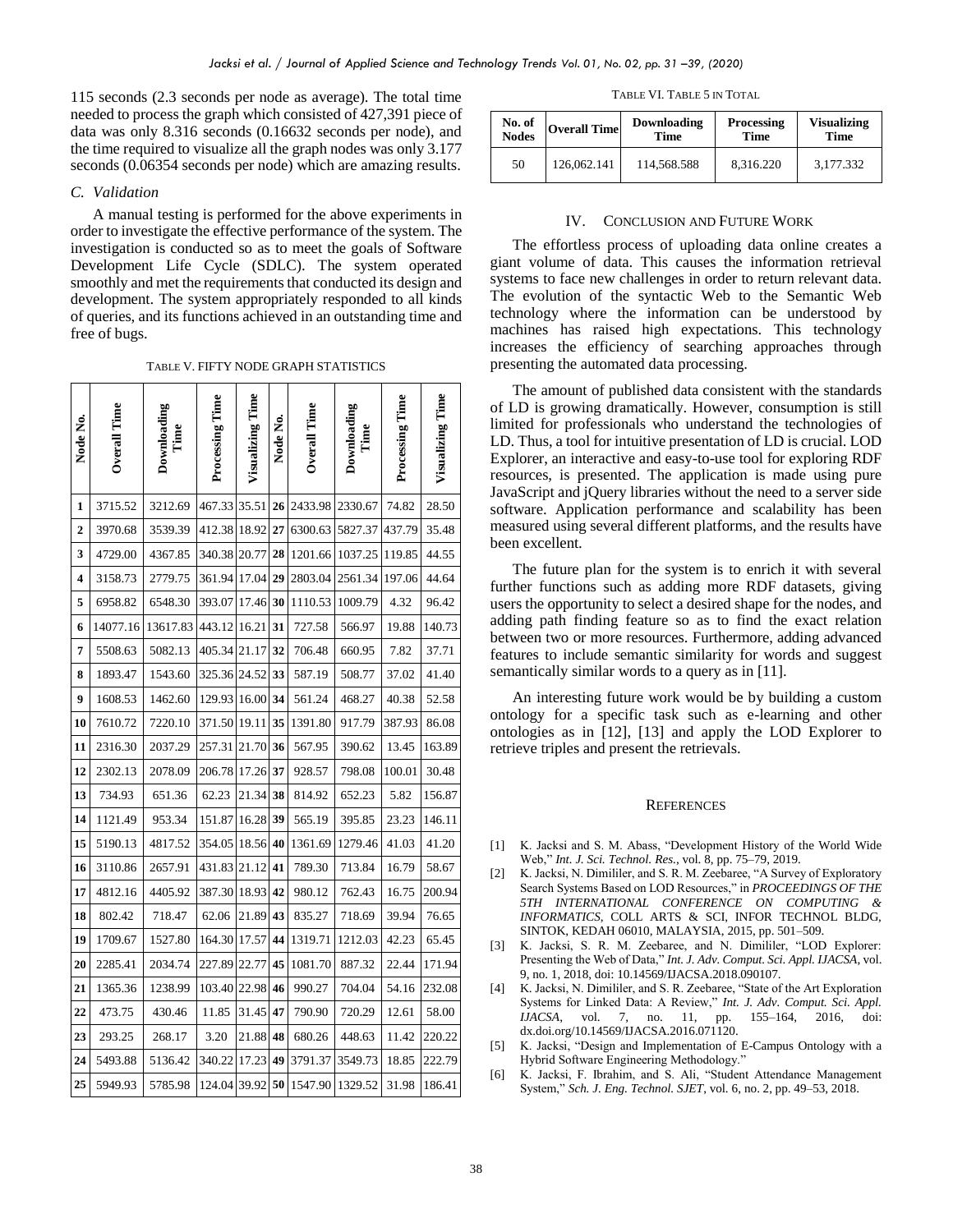115 seconds (2.3 seconds per node as average). The total time needed to process the graph which consisted of 427,391 piece of data was only 8.316 seconds (0.16632 seconds per node), and the time required to visualize all the graph nodes was only 3.177 seconds (0.06354 seconds per node) which are amazing results.

## *C. Validation*

A manual testing is performed for the above experiments in order to investigate the effective performance of the system. The investigation is conducted so as to meet the goals of Software Development Life Cycle (SDLC). The system operated smoothly and met the requirements that conducted its design and development. The system appropriately responded to all kinds of queries, and its functions achieved in an outstanding time and free of bugs.

TABLE V. FIFTY NODE GRAPH STATISTICS

| Node No.       | <b>Overall Time</b> | Downloading<br>Time | Processing Time | Visualizing Time | Node No. | Overall Time | Downloading<br>Time | Processing Time | Visualizing Time |
|----------------|---------------------|---------------------|-----------------|------------------|----------|--------------|---------------------|-----------------|------------------|
| 1              | 3715.52             | 3212.69             | 467.33          | 35.51            | 26       | 2433.98      | 2330.67             | 74.82           | 28.50            |
| $\overline{2}$ | 3970.68             | 3539.39             | 412.38          | 18.92            | 27       | 6300.63      | 5827.37             | 437.79          | 35.48            |
| 3              | 4729.00             | 4367.85             | 340.38          | 20.77            | 28       | 1201.66      | 1037.25             | 119.85          | 44.55            |
| 4              | 3158.73             | 2779.75             | 361.94          | 17.04            | 29       | 2803.04      | 2561.34             | 197.06          | 44.64            |
| 5              | 6958.82             | 6548.30             | 393.07          | 17.46            | 30       | 1110.53      | 1009.79             | 4.32            | 96.42            |
| 6              | 14077.16            | 13617.83            | 443.12          | 16.21            | 31       | 727.58       | 566.97              | 19.88           | 140.73           |
| 7              | 5508.63             | 5082.13             | 405.34          | 21.17            | 32       | 706.48       | 660.95              | 7.82            | 37.71            |
| 8              | 1893.47             | 1543.60             | 325.36          | 24.52            | 33       | 587.19       | 508.77              | 37.02           | 41.40            |
| 9              | 1608.53             | 1462.60             | 129.93          | 16.00            | 34       | 561.24       | 468.27              | 40.38           | 52.58            |
| 10             | 7610.72             | 7220.10             | 371.50          | 19.11            | 35       | 1391.80      | 917.79              | 387.93          | 86.08            |
| 11             | 2316.30             | 2037.29             | 257.31          | 21.70            | 36       | 567.95       | 390.62              | 13.45           | 163.89           |
| 12             | 2302.13             | 2078.09             | 206.78          | 17.26            | 37       | 928.57       | 798.08              | 100.01          | 30.48            |
| 13             | 734.93              | 651.36              | 62.23           | 21.34            | 38       | 814.92       | 652.23              | 5.82            | 156.87           |
| 14             | 1121.49             | 953.34              | 151.87          | 16.28            | 39       | 565.19       | 395.85              | 23.23           | 146.11           |
| 15             | 5190.13             | 4817.52             | 354.05          | 18.56            | 40       | 1361.69      | 1279.46             | 41.03           | 41.20            |
| 16             | 3110.86             | 2657.91             | 431.83          | 21.12            | 41       | 789.30       | 713.84              | 16.79           | 58.67            |
| 17             | 4812.16             | 4405.92             | 387.30          | 18.93            | 42       | 980.12       | 762.43              | 16.75           | 200.94           |
| 18             | 802.42              | 718.47              | 62.06           | 21.89            | 43       | 835.27       | 718.69              | 39.94           | 76.65            |
| 19             | 1709.67             | 1527.80             | 164.30          | 17.57            | 44       | 1319.71      | 1212.03             | 42.23           | 65.45            |
| 20             | 2285.41             | 2034.74             | 227.89          | 22.77            | 45       | 1081.70      | 887.32              | 22.44           | 171.94           |
| 21             | 1365.36             | 1238.99             | 103.40          | 22.98            | 46       | 990.27       | 704.04              | 54.16           | 232.08           |
| 22             | 473.75              | 430.46              | 11.85           | 31.45            | 47       | 790.90       | 720.29              | 12.61           | 58.00            |
| 23             | 293.25              | 268.17              | 3.20            | 21.88            | 48       | 680.26       | 448.63              | 11.42           | 220.22           |
| 24             | 5493.88             | 5136.42             | 340.22          | 17.23            | 49       | 3791.37      | 3549.73             | 18.85           | 222.79           |
| 25             | 5949.93             | 5785.98             | 124.04          | 39.92            | 50       | 1547.90      | 1329.52             | 31.98           | 186.41           |

TABLE VI. TABLE 5 IN TOTAL

| <b>No. of</b><br><b>Nodes</b> | <b>Overall Time</b> | Downloading<br><b>Time</b> | Processing<br><b>Time</b> | <b>Visualizing</b><br><b>Time</b> |  |
|-------------------------------|---------------------|----------------------------|---------------------------|-----------------------------------|--|
| 50                            | 126,062.141         | 114.568.588                | 8.316.220                 | 3.177.332                         |  |

## IV. CONCLUSION AND FUTURE WORK

The effortless process of uploading data online creates a giant volume of data. This causes the information retrieval systems to face new challenges in order to return relevant data. The evolution of the syntactic Web to the Semantic Web technology where the information can be understood by machines has raised high expectations. This technology increases the efficiency of searching approaches through presenting the automated data processing.

The amount of published data consistent with the standards of LD is growing dramatically. However, consumption is still limited for professionals who understand the technologies of LD. Thus, a tool for intuitive presentation of LD is crucial. LOD Explorer, an interactive and easy-to-use tool for exploring RDF resources, is presented. The application is made using pure JavaScript and jQuery libraries without the need to a server side software. Application performance and scalability has been measured using several different platforms, and the results have been excellent.

The future plan for the system is to enrich it with several further functions such as adding more RDF datasets, giving users the opportunity to select a desired shape for the nodes, and adding path finding feature so as to find the exact relation between two or more resources. Furthermore, adding advanced features to include semantic similarity for words and suggest semantically similar words to a query as in [11].

An interesting future work would be by building a custom ontology for a specific task such as e-learning and other ontologies as in [12], [13] and apply the LOD Explorer to retrieve triples and present the retrievals.

#### **REFERENCES**

- [1] K. Jacksi and S. M. Abass, "Development History of the World Wide Web," *Int. J. Sci. Technol. Res.*, vol. 8, pp. 75–79, 2019.
- [2] K. Jacksi, N. Dimililer, and S. R. M. Zeebaree, "A Survey of Exploratory Search Systems Based on LOD Resources," in *PROCEEDINGS OF THE 5TH INTERNATIONAL CONFERENCE ON COMPUTING & INFORMATICS*, COLL ARTS & SCI, INFOR TECHNOL BLDG, SINTOK, KEDAH 06010, MALAYSIA, 2015, pp. 501–509.
- [3] K. Jacksi, S. R. M. Zeebaree, and N. Dimililer, "LOD Explorer: Presenting the Web of Data," *Int. J. Adv. Comput. Sci. Appl. IJACSA*, vol. 9, no. 1, 2018, doi: 10.14569/IJACSA.2018.090107.
- [4] K. Jacksi, N. Dimililer, and S. R. Zeebaree, "State of the Art Exploration Systems for Linked Data: A Review," *Int. J. Adv. Comput. Sci. Appl. IJACSA*, vol. 7, no. 11, pp. 155–164. 2016 doi: *IJACSA*, vol. 7, no. 11, pp. 155-164, 2016, dx.doi.org/10.14569/IJACSA.2016.071120.
- [5] K. Jacksi, "Design and Implementation of E-Campus Ontology with a Hybrid Software Engineering Methodology."
- [6] K. Jacksi, F. Ibrahim, and S. Ali, "Student Attendance Management System," *Sch. J. Eng. Technol. SJET*, vol. 6, no. 2, pp. 49–53, 2018.